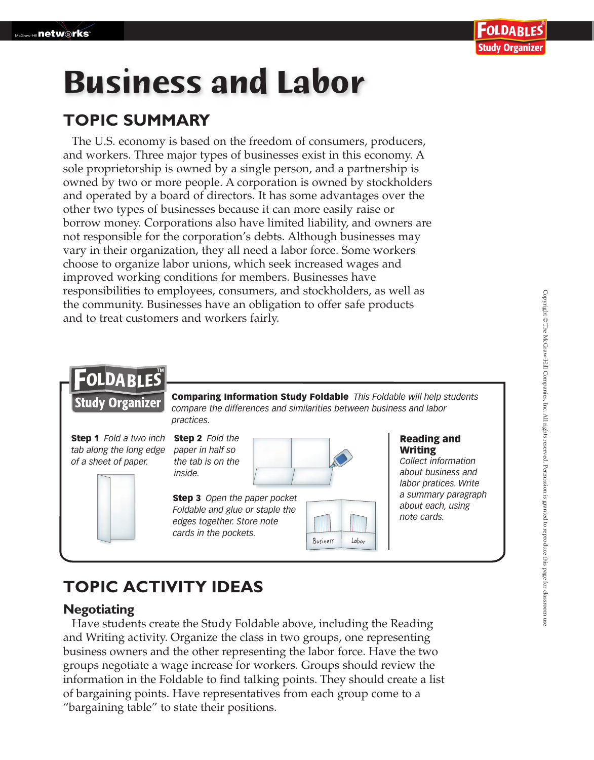# **Business and Labor**

## **TOPIC SUMMARY**

The U.S. economy is based on the freedom of consumers, producers, and workers. Three major types of businesses exist in this economy. A sole proprietorship is owned by a single person, and a partnership is owned by two or more people. A corporation is owned by stockholders and operated by a board of directors. It has some advantages over the other two types of businesses because it can more easily raise or borrow money. Corporations also have limited liability, and owners are not responsible for the corporation's debts. Although businesses may vary in their organization, they all need a labor force. Some workers choose to organize labor unions, which seek increased wages and improved working conditions for members. Businesses have responsibilities to employees, consumers, and stockholders, as well as the community. Businesses have an obligation to offer safe products and to treat customers and workers fairly.

## FOLDABLES

**Study Organizer** 

Comparing Information Study Foldable *This Foldable will help students compare the differences and similarities between business and labor practices.*

Step 1 *Fold a two inch tab along the long edge of a sheet of paper.*



Step 2 *Fold the paper in half so the tab is on the inside.*



Step 3 *Open the paper pocket Foldable and glue or staple the edges together. Store note cards in the pockets.*



#### Reading and Writing

*Collect information about business and labor pratices. Write a summary paragraph about each, using note cards.*

## **TOPIC ACTIVITY IDEAS**

#### **Negotiating**

 Have students create the Study Foldable above, including the Reading and Writing activity. Organize the class in two groups, one representing business owners and the other representing the labor force. Have the two groups negotiate a wage increase for workers. Groups should review the information in the Foldable to find talking points. They should create a list of bargaining points. Have representatives from each group come to a "bargaining table" to state their positions.